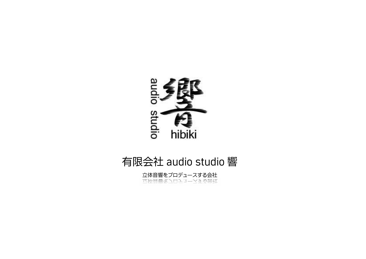

## 有限会社 audio studio 響

立体音響をプロデュースする会社<br>ホゆ具暴ぶコロエエーマミの芸好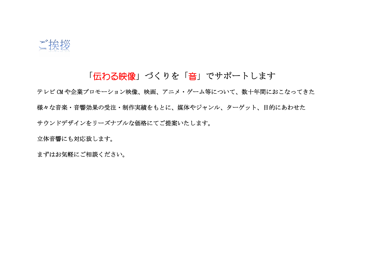

## 「伝わる映像」づくりを「音」でサポートします

テレビ CM や企業プロモーション映像、映画、アニメ・ゲーム等について、数十年間におこなってきた 様々な音楽・音響効果の受注・制作実績をもとに、媒体やジャンル、ターゲット、目的にあわせた サウンドデザインをリーズナブルな価格にてご提案いたします。

立体音響にも対応致します。

まずはお気軽にご相談ください。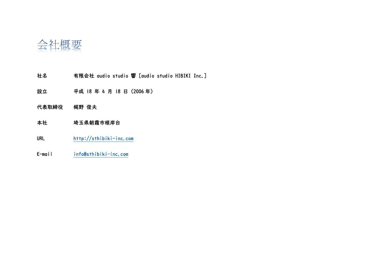

- 社名 有限会社 audio studio 響 [audio studio HIBIKI Inc.]
- 設立 平成 18 年 4 月 18 日(2006 年)
- 代表取締役 梶野 俊夫
- 本社 埼玉県朝霞市根岸台
- URL http://sthibiki-inc.com
- E-mail info@sthibiki-inc.com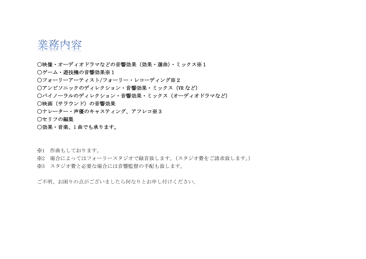

- 〇映像・オーディオドラマなどの音響効果(効果・選曲)・ミックス※1
- 〇ゲーム・遊技機の音響効果※1
- 〇フォーリーアーティスト/フォーリー・レコーディング※2
- 〇アンビソニックのディレクション・音響効果・ミックス(VR など)
- 〇バイノーラルのディレクション・音響効果・ミックス(オーディオドラマなど)
- 〇映画(サラウンド)の音響効果
- 〇ナレーター・声優のキャスティング、アフレコ※3
- 〇セリフの編集
- 〇効果・音楽、1 曲でも承ります。

※1 作曲もしております。

- ※2 場合によってはフォーリースタジオで録音致します。(スタジオ費をご請求致します。)
- ※3 スタジオ費と必要な場合には音響監督の手配も致します。

ご不明、お困りの点がございましたら何なりとお申し付けください。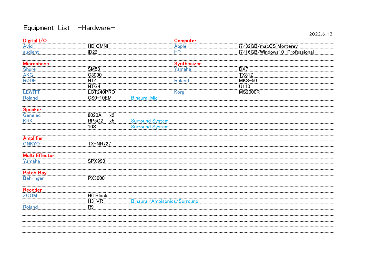## Equipment List -Hardware-

| Digital I/O           |                     |                              | Computer           |                                |
|-----------------------|---------------------|------------------------------|--------------------|--------------------------------|
| <b>Avid</b>           | HD OMNI             |                              | <b>Apple</b>       | i7/32GB/macOS Monterey         |
| audient               | iD22                |                              | <b>HP</b>          | i7/16GB/Windows10 Professional |
| <u>Microphone</u>     |                     |                              | <u>Synthesizer</u> |                                |
| <b>Shure</b>          | <b>SM58</b>         |                              | Yamaha             | DX7                            |
| <b>AKG</b>            | C3000               |                              |                    | <b>TX81Z</b>                   |
| <b>RØDE</b>           | NT4                 |                              | <b>Roland</b>      | $MKS-50$                       |
|                       | NTG4                |                              |                    | U110                           |
| <b>LEWITT</b>         | LCT240PRO           |                              | <b>Korg</b>        | <b>MS2000R</b>                 |
| Roland                | <b>CS0-10EM</b>     | <b>Binaural Mic</b>          |                    |                                |
| <b>Speaker</b>        |                     |                              |                    |                                |
|                       | 8020A x2            |                              |                    |                                |
| Genelec<br>KRK        | RP5G2<br>$\times 5$ | <b>Surround System</b>       |                    |                                |
|                       | <b>10S</b>          | <b>Surround System</b>       |                    |                                |
| <b>Amplifier</b>      |                     |                              |                    |                                |
| <b>ONKYO</b>          | TX-NR727            |                              |                    |                                |
| <b>Multi Effector</b> |                     |                              |                    |                                |
| Yamaha                | <b>SPX990</b>       |                              |                    |                                |
| <b>Patch Bay</b>      |                     |                              |                    |                                |
| <b>Behringer</b>      | PX3000              |                              |                    |                                |
|                       |                     |                              |                    |                                |
| Recoder               |                     |                              |                    |                                |
| <u>ZOOM</u>           | H6 Black            |                              |                    |                                |
|                       | $H3-VR$             | Binaural/Ambisonics/Surround |                    |                                |
| <b>Roland</b>         | R <sub>9</sub>      |                              |                    |                                |
|                       |                     |                              |                    |                                |
|                       |                     |                              |                    |                                |
|                       |                     |                              |                    |                                |
|                       |                     |                              |                    |                                |

2022.6.13